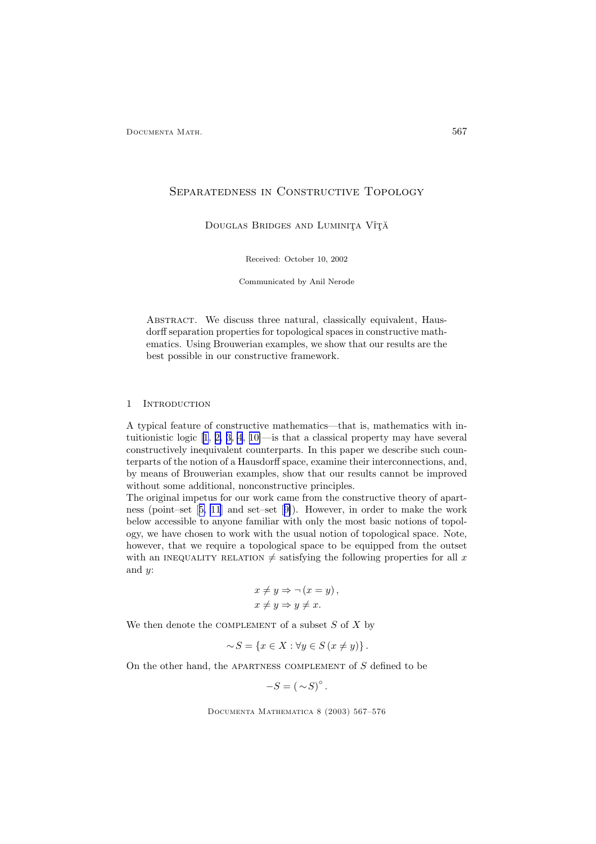## Separatedness in Constructive Topology

DOUGLAS BRIDGES AND LUMINITA VÎȚĂ

Received: October 10, 2002

Communicated by Anil Nerode

ABSTRACT. We discuss three natural, classically equivalent, Hausdorff separation properties for topological spaces in constructive mathematics. Using Brouwerian examples, we show that our results are the best possible in our constructive framework.

## 1 INTRODUCTION

A typical feature of constructive mathematics—that is, mathematics with intuitionistic logic [\[1](#page-8-0), [2, 3, 4](#page-8-0), [10\]](#page-8-0)—is that a classical property may have several constructively inequivalent counterparts. In this paper we describe such counterparts of the notion of a Hausdorff space, examine their interconnections, and, by means of Brouwerian examples, show that our results cannot be improved without some additional, nonconstructive principles.

The original impetus for our work came from the constructive theory of apartness (point–set [[5, 11](#page-8-0)] and set–set [[9\]](#page-8-0)). However, in order to make the work below accessible to anyone familiar with only the most basic notions of topology, we have chosen to work with the usual notion of topological space. Note, however, that we require a topological space to be equipped from the outset with an INEQUALITY RELATION  $\neq$  satisfying the following properties for all x and  $y$ :

$$
x \neq y \Rightarrow \neg (x = y),
$$
  

$$
x \neq y \Rightarrow y \neq x.
$$

We then denote the COMPLEMENT of a subset  $S$  of  $X$  by

$$
\sim S = \{ x \in X : \forall y \in S \ (x \neq y) \}.
$$

On the other hand, the APARTNESS COMPLEMENT of  $S$  defined to be

$$
-S = (\sim S)^\circ
$$

.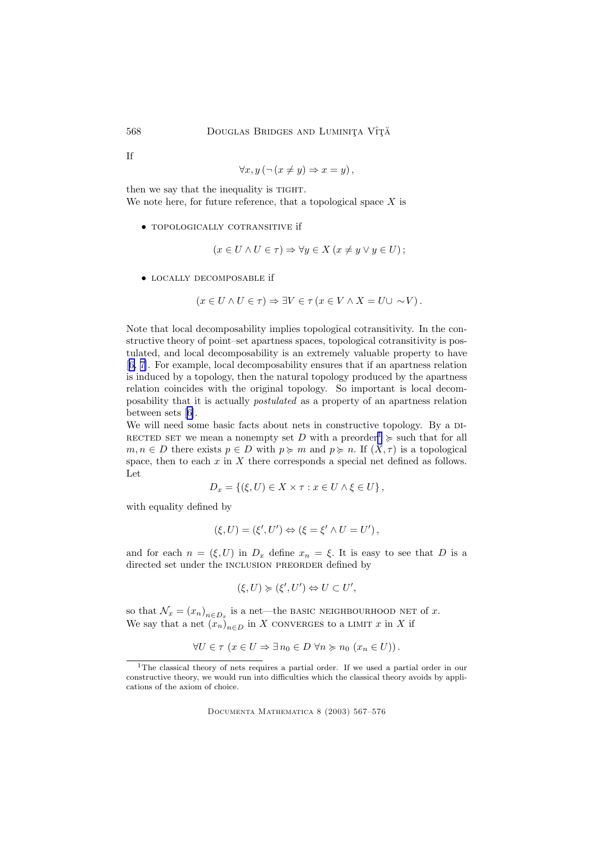If

$$
\forall x, y \, (\neg \, (x \neq y) \Rightarrow x = y) \, ,
$$

then we say that the inequality is TIGHT. We note here, for future reference, that a topological space  $X$  is

• topologically cotransitive if

$$
(x \in U \land U \in \tau) \Rightarrow \forall y \in X \ (x \neq y \lor y \in U) \ ;
$$

• locally decomposable if

$$
(x \in U \land U \in \tau) \Rightarrow \exists V \in \tau \ (x \in V \land X = U \cup \sim V).
$$

Note that local decomposability implies topological cotransitivity. In the constructive theory of point–set apartness spaces, topological cotransitivity is postulated, and local decomposability is an extremely valuable property to have [[6, 7\]](#page-8-0). For example, local decomposability ensures that if an apartness relation is induced by a topology, then the natural topology produced by the apartness relation coincides with the original topology. So important is local decomposability that it is actually postulated as a property of an apartness relation between sets [[6\]](#page-8-0).

We will need some basic facts about nets in constructive topology. By a DI-RECTED SET we mean a nonempty set D with a preorder<sup>1</sup>  $\succcurlyeq$  such that for all  $m, n \in D$  there exists  $p \in D$  with  $p \ge m$  and  $p \ge n$ . If  $(X, \tau)$  is a topological space, then to each  $x$  in  $X$  there corresponds a special net defined as follows. Let

$$
D_x = \{ (\xi, U) \in X \times \tau : x \in U \wedge \xi \in U \},
$$

with equality defined by

$$
(\xi, U) = (\xi', U') \Leftrightarrow (\xi = \xi' \wedge U = U'),
$$

and for each  $n = (\xi, U)$  in  $D_x$  define  $x_n = \xi$ . It is easy to see that D is a directed set under the INCLUSION PREORDER defined by

$$
(\xi, U) \succcurlyeq (\xi', U') \Leftrightarrow U \subset U',
$$

so that  $\mathcal{N}_x = (x_n)_{n \in D_x}$  is a net—the BASIC NEIGHBOURHOOD NET of x. We say that a net  $(x_n)_{n\in D}$  in X converges to a LIMIT x in X if

$$
\forall U \in \tau \ (x \in U \Rightarrow \exists n_0 \in D \ \forall n \succcurlyeq n_0 \ (x_n \in U)).
$$

<sup>&</sup>lt;sup>1</sup>The classical theory of nets requires a partial order. If we used a partial order in our constructive theory, we would run into difficulties which the classical theory avoids by applications of the axiom of choice.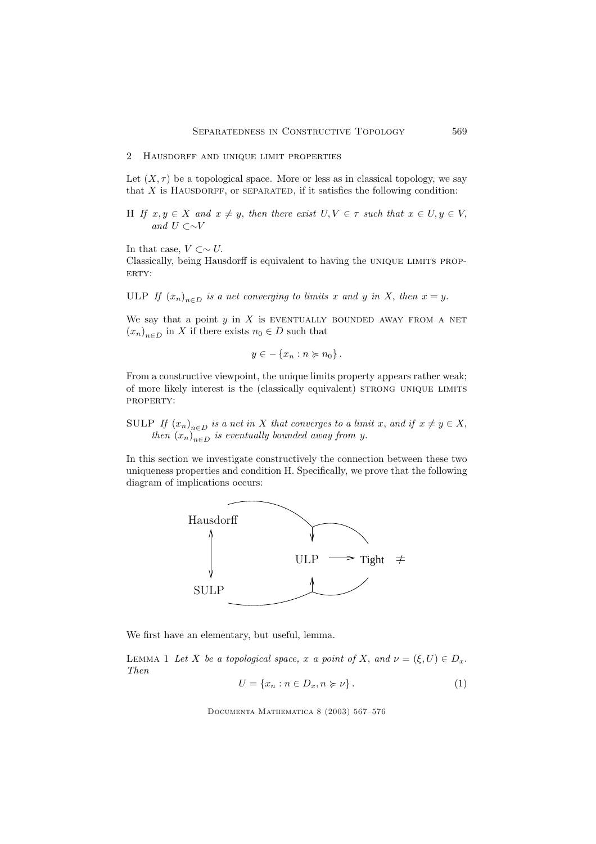## <span id="page-2-0"></span>2 Hausdorff and unique limit properties

Let  $(X, \tau)$  be a topological space. More or less as in classical topology, we say that  $X$  is HAUSDORFF, or SEPARATED, if it satisfies the following condition:

H If  $x, y \in X$  and  $x \neq y$ , then there exist  $U, V \in \tau$  such that  $x \in U, y \in V$ , and  $U$  ⊂∼ $V$ 

In that case,  $V \subset \sim U$ .

Classically, being Hausdorff is equivalent to having the UNIQUE LIMITS PROP-ERTY:

ULP If  $(x_n)_{n\in D}$  is a net converging to limits x and y in X, then  $x = y$ .

We say that a point  $y$  in  $X$  is EVENTUALLY BOUNDED AWAY FROM A NET  $(x_n)_{n\in D}$  in X if there exists  $n_0 \in D$  such that

$$
y \in -\left\{x_n : n \succcurlyeq n_0\right\}.
$$

From a constructive viewpoint, the unique limits property appears rather weak; of more likely interest is the (classically equivalent) strong unique limits property:

SULP If  $(x_n)_{n\in D}$  is a net in X that converges to a limit x, and if  $x \neq y \in X$ , then  $(x_n)_{n\in D}$  is eventually bounded away from y.

In this section we investigate constructively the connection between these two uniqueness properties and condition H. Specifically, we prove that the following diagram of implications occurs:



We first have an elementary, but useful, lemma.

LEMMA 1 Let X be a topological space, x a point of X, and  $\nu = (\xi, U) \in D_x$ . Then

$$
U = \{x_n : n \in D_x, n \succcurlyeq \nu\}.
$$
\n<sup>(1)</sup>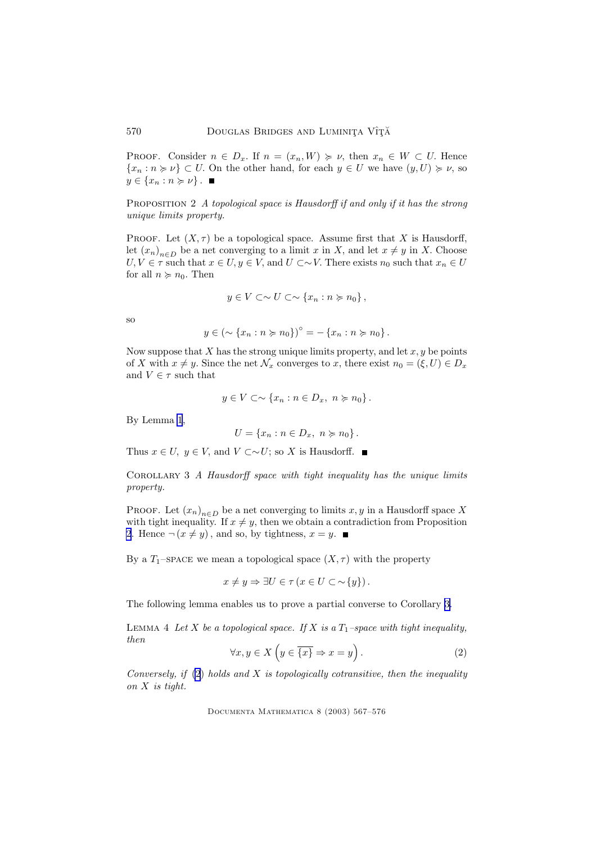<span id="page-3-0"></span>PROOF. Consider  $n \in D_x$ . If  $n = (x_n, W) \geq \nu$ , then  $x_n \in W \subset U$ . Hence  ${x_n : n \geq \nu} \subset U$ . On the other hand, for each  $y \in U$  we have  $(y, U) \geq \nu$ , so  $y \in \{x_n : n \succcurlyeq \nu\}$ .

PROPOSITION 2 A topological space is Hausdorff if and only if it has the strong unique limits property.

PROOF. Let  $(X, \tau)$  be a topological space. Assume first that X is Hausdorff, let  $(x_n)_{n\in D}$  be a net converging to a limit x in X, and let  $x \neq y$  in X. Choose  $U, V \in \tau$  such that  $x \in U, y \in V$ , and  $U \subset \sim V$ . There exists  $n_0$  such that  $x_n \in U$ for all  $n \succcurlyeq n_0$ . Then

$$
y\in V\subset\sim U\subset\sim \{x_n:n\succcurlyeq n_0\}\,,
$$

so

$$
y \in \left(\sim \{x_n : n \succcurlyeq n_0\}\right)^\circ = -\{x_n : n \succcurlyeq n_0\}.
$$

Now suppose that  $X$  has the strong unique limits property, and let  $x, y$  be points of X with  $x \neq y$ . Since the net  $\mathcal{N}_x$  converges to x, there exist  $n_0 = (\xi, U) \in D_x$ and  $V \in \tau$  such that

$$
y \in V \subset \sim \{x_n : n \in D_x, n \succcurlyeq n_0\}.
$$

By Lemma [1](#page-2-0),

$$
U = \{x_n : n \in D_x, n \succcurlyeq n_0\}.
$$

Thus  $x \in U$ ,  $y \in V$ , and  $V \subset \sim U$ ; so X is Hausdorff. ■

Corollary 3 A Hausdorff space with tight inequality has the unique limits property.

PROOF. Let  $(x_n)_{n\in D}$  be a net converging to limits x, y in a Hausdorff space X with tight inequality. If  $x \neq y$ , then we obtain a contradiction from Proposition 2. Hence  $\neg (x \neq y)$ , and so, by tightness,  $x = y$ .

By a T<sub>1</sub>–space we mean a topological space  $(X, \tau)$  with the property

 $x \neq y \Rightarrow \exists U \in \tau \ (x \in U \subset \sim \{y\}).$ 

The following lemma enables us to prove a partial converse to Corollary 3.

LEMMA 4 Let X be a topological space. If X is a  $T_1$ -space with tight inequality, then

$$
\forall x, y \in X \left( y \in \overline{\{x\}} \Rightarrow x = y \right). \tag{2}
$$

Conversely, if  $(2)$  holds and X is topologically cotransitive, then the inequality on X is tight.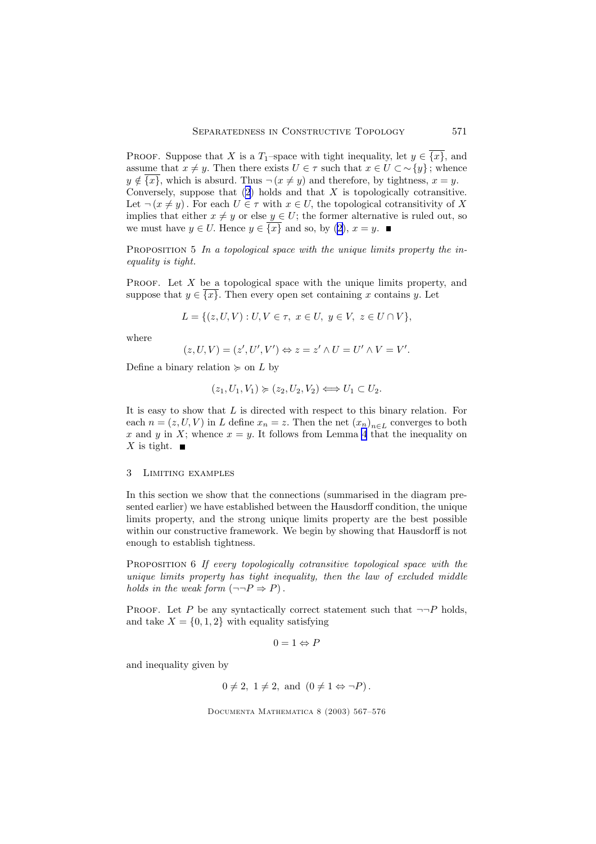PROOF. Suppose that X is a  $T_1$ –space with tight inequality, let  $y \in \overline{\{x\}}$ , and assume that  $x \neq y$ . Then there exists  $U \in \tau$  such that  $x \in U \subset \neg \{y\}$ ; whence  $y \notin \overline{\{x\}}$ , which is absurd. Thus  $\neg (x \neq y)$  and therefore, by tightness,  $x = y$ . Conversely, suppose that  $(2)$  $(2)$  holds and that X is topologically cotransitive. Let  $\neg(x \neq y)$ . For each  $U \in \tau$  with  $x \in U$ , the topological cotransitivity of X implies that either  $x \neq y$  or else  $y \in U$ ; the former alternative is ruled out, so we must have  $y \in U$ . Hence  $y \in \overline{\{x\}}$  and so, by ([2\)](#page-3-0),  $x = y$ .

PROPOSITION  $5$  In a topological space with the unique limits property the inequality is tight.

PROOF. Let  $X$  be a topological space with the unique limits property, and suppose that  $y \in \{x\}$ . Then every open set containing x contains y. Let

$$
L = \{(z, U, V) : U, V \in \tau, \ x \in U, \ y \in V, \ z \in U \cap V\},\
$$

where

$$
(z, U, V) = (z', U', V') \Leftrightarrow z = z' \wedge U = U' \wedge V = V'.
$$

Define a binary relation  $\succcurlyeq$  on L by

$$
(z_1, U_1, V_1) \succcurlyeq (z_2, U_2, V_2) \Longleftrightarrow U_1 \subset U_2.
$$

It is easy to show that L is directed with respect to this binary relation. For each  $n = (z, U, V)$  in L define  $x_n = z$ . Then the net  $(x_n)_{n \in L}$  converges to both x and y in X; whence  $x = y$ . It follows from Lemma [4](#page-3-0) that the inequality on X is tight.  $\blacksquare$ 

## 3 Limiting examples

In this section we show that the connections (summarised in the diagram presented earlier) we have established between the Hausdorff condition, the unique limits property, and the strong unique limits property are the best possible within our constructive framework. We begin by showing that Hausdorff is not enough to establish tightness.

PROPOSITION 6 If every topologically cotransitive topological space with the unique limits property has tight inequality, then the law of excluded middle holds in the weak form  $(\neg \neg P \Rightarrow P)$ .

PROOF. Let P be any syntactically correct statement such that  $\neg P$  holds, and take  $X = \{0, 1, 2\}$  with equality satisfying

$$
0 = 1 \Leftrightarrow P
$$

and inequality given by

 $0 \neq 2$ ,  $1 \neq 2$ , and  $(0 \neq 1 \Leftrightarrow \neg P)$ .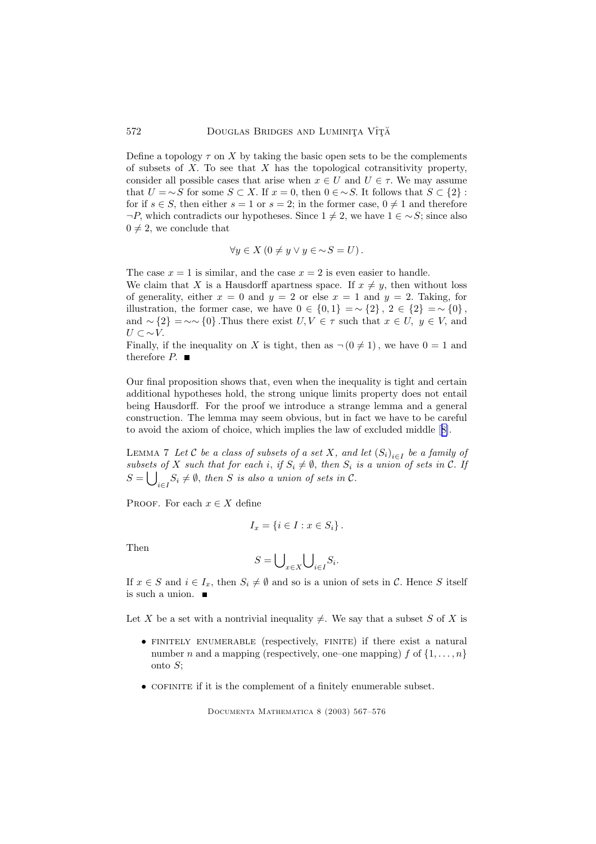Define a topology  $\tau$  on X by taking the basic open sets to be the complements of subsets of  $X$ . To see that  $X$  has the topological cotransitivity property, consider all possible cases that arise when  $x \in U$  and  $U \in \tau$ . We may assume that  $U = \neg S$  for some  $S \subset X$ . If  $x = 0$ , then  $0 \in \neg S$ . It follows that  $S \subset \{2\}$ : for if  $s \in S$ , then either  $s = 1$  or  $s = 2$ ; in the former case,  $0 \neq 1$  and therefore  $\neg P$ , which contradicts our hypotheses. Since  $1 \neq 2$ , we have  $1 \in \sim S$ ; since also  $0 \neq 2$ , we conclude that

$$
\forall y \in X \ (0 \neq y \lor y \in \sim S = U).
$$

The case  $x = 1$  is similar, and the case  $x = 2$  is even easier to handle. We claim that X is a Hausdorff apartness space. If  $x \neq y$ , then without loss of generality, either  $x = 0$  and  $y = 2$  or else  $x = 1$  and  $y = 2$ . Taking, for illustration, the former case, we have  $0 \in \{0,1\} = \sim \{2\}$ ,  $2 \in \{2\} = \sim \{0\}$ , and  $\sim$  {2} =  $\sim$  ~ {0}. Thus there exist  $U, V \in \tau$  such that  $x \in U$ ,  $y \in V$ , and  $U \subset \sim V$ .

Finally, if the inequality on X is tight, then as  $\neg$  (0  $\neq$  1), we have 0 = 1 and therefore  $P$ .  $\blacksquare$ 

Our final proposition shows that, even when the inequality is tight and certain additional hypotheses hold, the strong unique limits property does not entail being Hausdorff. For the proof we introduce a strange lemma and a general construction. The lemma may seem obvious, but in fact we have to be careful to avoid the axiom of choice, which implies the law of excluded middle [[8\]](#page-8-0).

LEMMA 7 Let  $\mathcal C$  be a class of subsets of a set  $X,$  and let  $\left(S_i\right)_{i\in I}$  be a family of subsets of X such that for each i, if  $S_i \neq \emptyset$ , then  $S_i$  is a union of sets in C. If  $S = \bigcup_{i \in I} S_i \neq \emptyset$ , then S is also a union of sets in C.

PROOF. For each  $x \in X$  define

$$
I_x = \{i \in I : x \in S_i\}.
$$

Then

$$
S = \bigcup\nolimits_{x \in X} \bigcup\nolimits_{i \in I} S_i.
$$

If  $x \in S$  and  $i \in I_x$ , then  $S_i \neq \emptyset$  and so is a union of sets in C. Hence S itself is such a union.  $\quadblacksquare$ 

Let X be a set with a nontrivial inequality  $\neq$ . We say that a subset S of X is

- finitely enumerable (respectively, finite) if there exist a natural number *n* and a mapping (respectively, one–one mapping) f of  $\{1, \ldots, n\}$ onto S;
- $\bullet$  COFINITE if it is the complement of a finitely enumerable subset.

<span id="page-5-0"></span>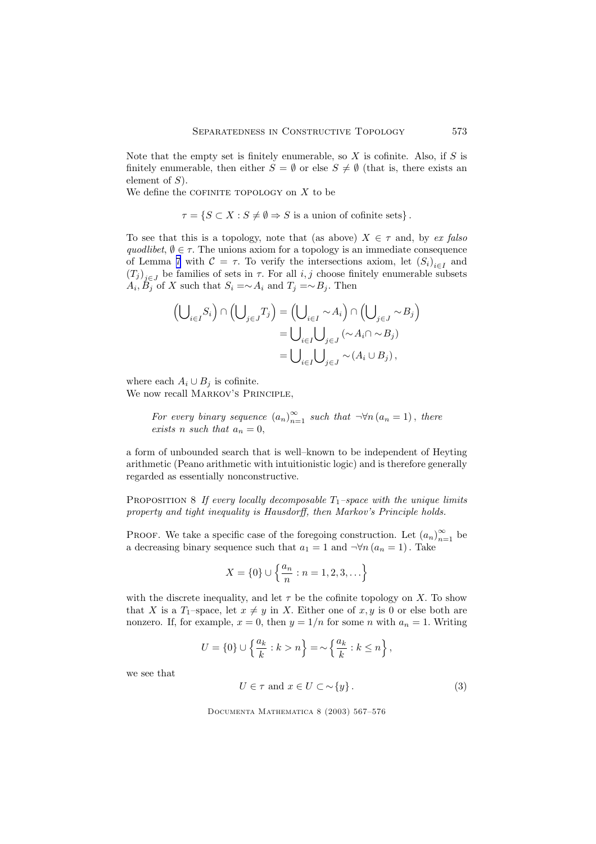<span id="page-6-0"></span>Note that the empty set is finitely enumerable, so  $X$  is cofinite. Also, if  $S$  is finitely enumerable, then either  $S = \emptyset$  or else  $S \neq \emptyset$  (that is, there exists an element of S).

We define the COFINITE TOPOLOGY on  $X$  to be

 $\tau = \{S \subset X : S \neq \emptyset \Rightarrow S$  is a union of cofinite sets}.

To see that this is a topology, note that (as above)  $X \in \tau$  and, by ex falso quodlibet,  $\emptyset \in \tau$ . The unions axiom for a topology is an immediate consequence of Lemma [7](#page-5-0) with  $C = \tau$ . To verify the intersections axiom, let  $(S_i)_{i \in I}$  and  $(T_j)_{j\in J}$  be families of sets in  $\tau$ . For all  $i, j$  choose finitely enumerable subsets  $A_i, B_j$  of X such that  $S_i = \sim A_i$  and  $T_j = \sim B_j$ . Then

$$
\left(\bigcup_{i\in I} S_i\right) \cap \left(\bigcup_{j\in J} T_j\right) = \left(\bigcup_{i\in I} \sim A_i\right) \cap \left(\bigcup_{j\in J} \sim B_j\right)
$$

$$
= \bigcup_{i\in I} \bigcup_{j\in J} (\sim A_i \cap \sim B_j)
$$

$$
= \bigcup_{i\in I} \bigcup_{j\in J} \sim (A_i \cup B_j),
$$

where each  $A_i \cup B_j$  is cofinite. We now recall MARKOV'S PRINCIPLE,

For every binary sequence  $(a_n)_{n=1}^{\infty}$  such that  $\neg\forall n (a_n = 1)$ , there exists n such that  $a_n = 0$ ,

a form of unbounded search that is well–known to be independent of Heyting arithmetic (Peano arithmetic with intuitionistic logic) and is therefore generally regarded as essentially nonconstructive.

PROPOSITION 8 If every locally decomposable  $T_1$ –space with the unique limits property and tight inequality is Hausdorff, then Markov's Principle holds.

PROOF. We take a specific case of the foregoing construction. Let  $(a_n)_{n=1}^{\infty}$  be a decreasing binary sequence such that  $a_1 = 1$  and  $\neg \forall n (a_n = 1)$ . Take

$$
X = \{0\} \cup \left\{\frac{a_n}{n} : n = 1, 2, 3, \ldots\right\}
$$

with the discrete inequality, and let  $\tau$  be the cofinite topology on X. To show that X is a  $T_1$ -space, let  $x \neq y$  in X. Either one of  $x, y$  is 0 or else both are nonzero. If, for example,  $x = 0$ , then  $y = 1/n$  for some n with  $a_n = 1$ . Writing

$$
U = \{0\} \cup \left\{\frac{a_k}{k} : k > n\right\} = \sim \left\{\frac{a_k}{k} : k \le n\right\},\
$$

we see that

$$
U \in \tau \text{ and } x \in U \subset \sim \{y\}. \tag{3}
$$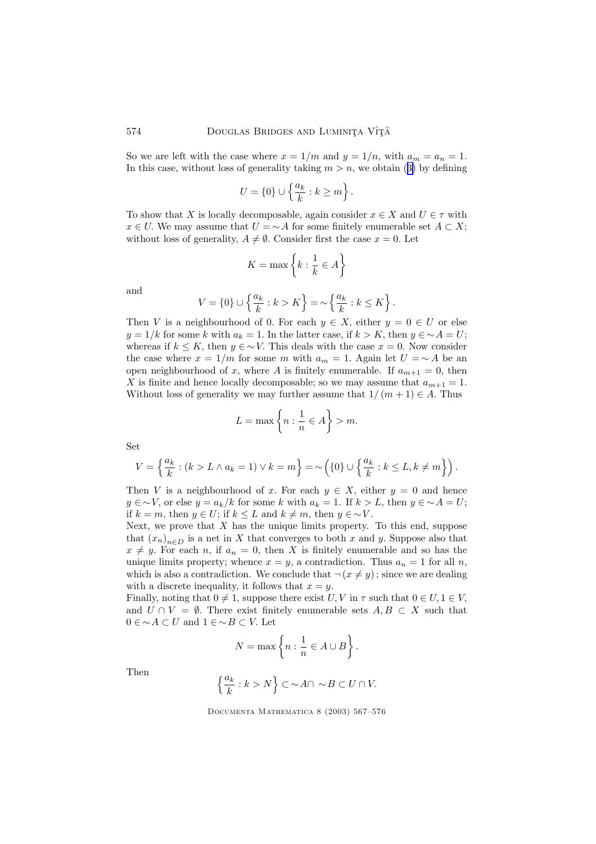So we are left with the case where  $x = 1/m$  and  $y = 1/n$ , with  $a_m = a_n = 1$ . In this case, without loss of generality taking  $m > n$ , we obtain ([3\)](#page-6-0) by defining

$$
U = \{0\} \cup \left\{\frac{a_k}{k} : k \ge m\right\}.
$$

To show that X is locally decomposable, again consider  $x \in X$  and  $U \in \tau$  with  $x \in U$ . We may assume that  $U = \neg A$  for some finitely enumerable set  $A \subset X$ ; without loss of generality,  $A \neq \emptyset$ . Consider first the case  $x = 0$ . Let

$$
K = \max\left\{k : \frac{1}{k} \in A\right\}
$$

and

$$
V = \{0\} \cup \left\{\frac{a_k}{k} : k > K\right\} = \sim \left\{\frac{a_k}{k} : k \le K\right\}.
$$

Then V is a neighbourhood of 0. For each  $y \in X$ , either  $y = 0 \in U$  or else  $y = 1/k$  for some k with  $a_k = 1$ . In the latter case, if  $k > K$ , then  $y \in \sim A = U$ ; whereas if  $k \leq K$ , then  $y \in \sim V$ . This deals with the case  $x = 0$ . Now consider the case where  $x = 1/m$  for some m with  $a_m = 1$ . Again let  $U = \sim A$  be an open neighbourhood of x, where A is finitely enumerable. If  $a_{m+1} = 0$ , then X is finite and hence locally decomposable; so we may assume that  $a_{m+1} = 1$ . Without loss of generality we may further assume that  $1/(m+1) \in A$ . Thus

$$
L = \max\left\{n : \frac{1}{n} \in A\right\} > m.
$$

Set

$$
V = \left\{ \frac{a_k}{k} : (k > L \wedge a_k = 1) \vee k = m \right\} = \sim \left( \{0\} \cup \left\{ \frac{a_k}{k} : k \le L, k \ne m \right\} \right).
$$

Then V is a neighbourhood of x. For each  $y \in X$ , either  $y = 0$  and hence  $y \in \neg V$ , or else  $y = a_k/k$  for some k with  $a_k = 1$ . If  $k > L$ , then  $y \in \neg A = U$ ; if  $k = m$ , then  $y \in U$ ; if  $k \leq L$  and  $k \neq m$ , then  $y \in \sim V$ .

Next, we prove that  $X$  has the unique limits property. To this end, suppose that  $(x_n)_{n\in D}$  is a net in X that converges to both x and y. Suppose also that  $x \neq y$ . For each n, if  $a_n = 0$ , then X is finitely enumerable and so has the unique limits property; whence  $x = y$ , a contradiction. Thus  $a_n = 1$  for all n, which is also a contradiction. We conclude that  $\neg (x \neq y)$ ; since we are dealing with a discrete inequality, it follows that  $x = y$ .

Finally, noting that  $0 \neq 1$ , suppose there exist U, V in  $\tau$  such that  $0 \in U, 1 \in V$ , and  $U \cap V = \emptyset$ . There exist finitely enumerable sets  $A, B \subset X$  such that  $0 \in \sim A \subset U$  and  $1 \in \sim B \subset V$ . Let

$$
N = \max\left\{n : \frac{1}{n} \in A \cup B\right\}.
$$

Then

$$
\left\{\frac{a_k}{k}: k>N\right\}\subset \sim A\cap\ \sim B\subset U\cap V.
$$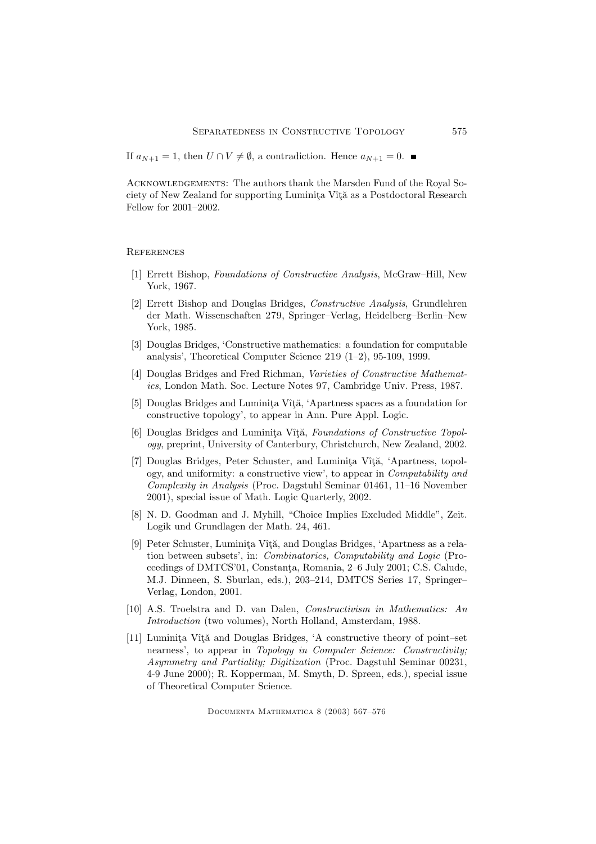<span id="page-8-0"></span>If  $a_{N+1} = 1$ , then  $U \cap V \neq \emptyset$ , a contradiction. Hence  $a_{N+1} = 0$ . ■

Acknowledgements: The authors thank the Marsden Fund of the Royal Society of New Zealand for supporting Luminita Vîtă as a Postdoctoral Research Fellow for 2001–2002.

**REFERENCES** 

- [1] Errett Bishop, Foundations of Constructive Analysis, McGraw–Hill, New York, 1967.
- [2] Errett Bishop and Douglas Bridges, Constructive Analysis, Grundlehren der Math. Wissenschaften 279, Springer–Verlag, Heidelberg–Berlin–New York, 1985.
- [3] Douglas Bridges, 'Constructive mathematics: a foundation for computable analysis', Theoretical Computer Science 219 (1–2), 95-109, 1999.
- [4] Douglas Bridges and Fred Richman, Varieties of Constructive Mathematics, London Math. Soc. Lecture Notes 97, Cambridge Univ. Press, 1987.
- [5] Douglas Bridges and Luminita Vîtă, 'Apartness spaces as a foundation for constructive topology', to appear in Ann. Pure Appl. Logic.
- [6] Douglas Bridges and Luminita Vîtă, Foundations of Constructive Topology, preprint, University of Canterbury, Christchurch, New Zealand, 2002.
- [7] Douglas Bridges, Peter Schuster, and Luminita Vîtă, 'Apartness, topology, and uniformity: a constructive view', to appear in Computability and Complexity in Analysis (Proc. Dagstuhl Seminar 01461, 11–16 November 2001), special issue of Math. Logic Quarterly, 2002.
- [8] N. D. Goodman and J. Myhill, "Choice Implies Excluded Middle", Zeit. Logik und Grundlagen der Math. 24, 461.
- [9] Peter Schuster, Luminita Vîtă, and Douglas Bridges, 'Apartness as a relation between subsets', in: Combinatorics, Computability and Logic (Proceedings of DMTCS'01, Constanta, Romania, 2–6 July 2001; C.S. Calude, M.J. Dinneen, S. Sburlan, eds.), 203–214, DMTCS Series 17, Springer– Verlag, London, 2001.
- [10] A.S. Troelstra and D. van Dalen, Constructivism in Mathematics: An Introduction (two volumes), North Holland, Amsterdam, 1988.
- [11] Luminita Vîtă and Douglas Bridges, 'A constructive theory of point–set nearness', to appear in Topology in Computer Science: Constructivity; Asymmetry and Partiality; Digitization (Proc. Dagstuhl Seminar 00231, 4-9 June 2000); R. Kopperman, M. Smyth, D. Spreen, eds.), special issue of Theoretical Computer Science.